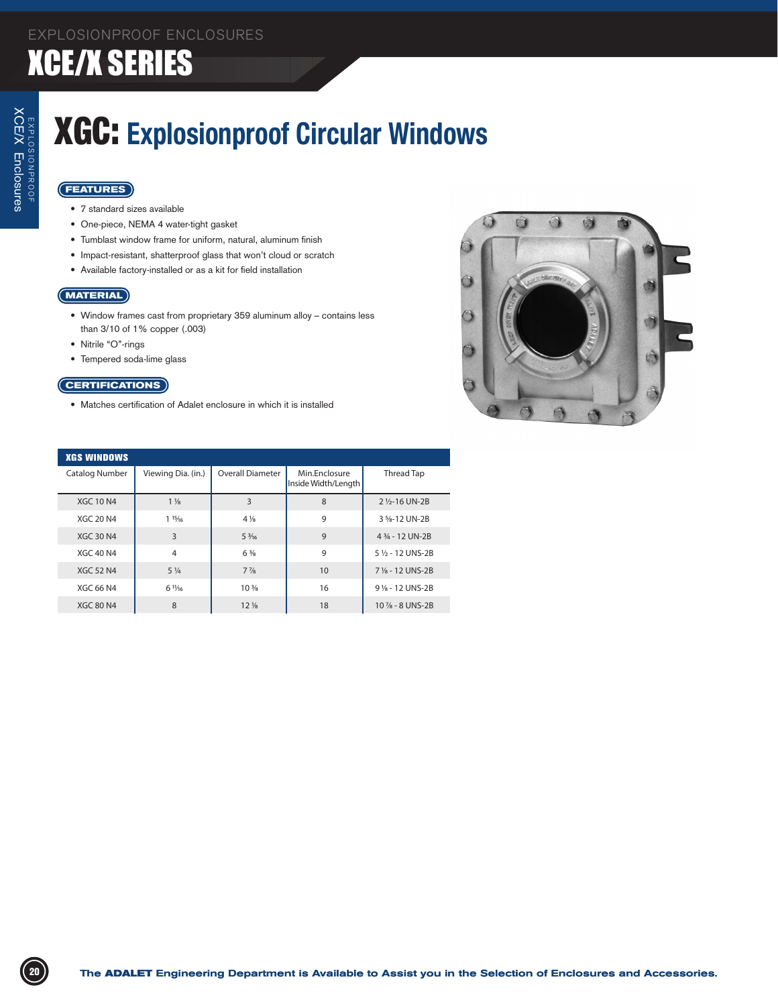### XCE/X SERIES

## XGC: **Explosionproof Circular Windows**

### **FEATURES**

- 7 standard sizes available
- • One-piece, NEMA 4 water-tight gasket
- • Tumblast window frame for uniform, natural, aluminum finish
- Impact-resistant, shatterproof glass that won't cloud or scratch
- • Available factory-installed or as a kit for field installation

### **MATERIAL**

- • Window frames cast from proprietary 359 aluminum alloy contains less than 3/10 of 1% copper (.003)
- • Nitrile "O"-rings
- • Tempered soda-lime glass

### **CERTIFICATIONS**

• Matches certification of Adalet enclosure in which it is installed



| <b>XGS WINDOWS</b> |                  |                    |                                |                                      |                             |  |
|--------------------|------------------|--------------------|--------------------------------|--------------------------------------|-----------------------------|--|
|                    | Catalog Number   | Viewing Dia. (in.) | <b>Overall Diameter</b>        | Min.Enclosure<br>Inside Width/Length | Thread Tap                  |  |
|                    | <b>XGC 10 N4</b> | $1\frac{1}{8}$     | 3                              | 8                                    | 2 1/ <sub>2</sub> -16 UN-2B |  |
|                    | <b>XGC 20 N4</b> | 115/16             | $4\frac{1}{8}$                 | 9                                    | 3 %-12 UN-2B                |  |
|                    | <b>XGC 30 N4</b> | 3                  | $5\frac{3}{16}$                | 9                                    | 4 3/4 - 12 UN-2B            |  |
|                    | <b>XGC 40 N4</b> | $\overline{4}$     | $6\frac{3}{8}$                 | 9                                    | 5 % - 12 UNS-2B             |  |
|                    | <b>XGC 52 N4</b> | $5\frac{1}{4}$     | $7\frac{7}{8}$                 | 10                                   | 7 % - 12 UNS-2B             |  |
|                    | XGC 66 N4        | $6 \frac{11}{16}$  | 10 <sup>3</sup> / <sub>8</sub> | 16                                   | 9 % - 12 UNS-2B             |  |
|                    | <b>XGC 80 N4</b> | 8                  | $12\frac{1}{8}$                | 18                                   | $10\% - 8$ UNS-2B           |  |
|                    |                  |                    |                                |                                      |                             |  |